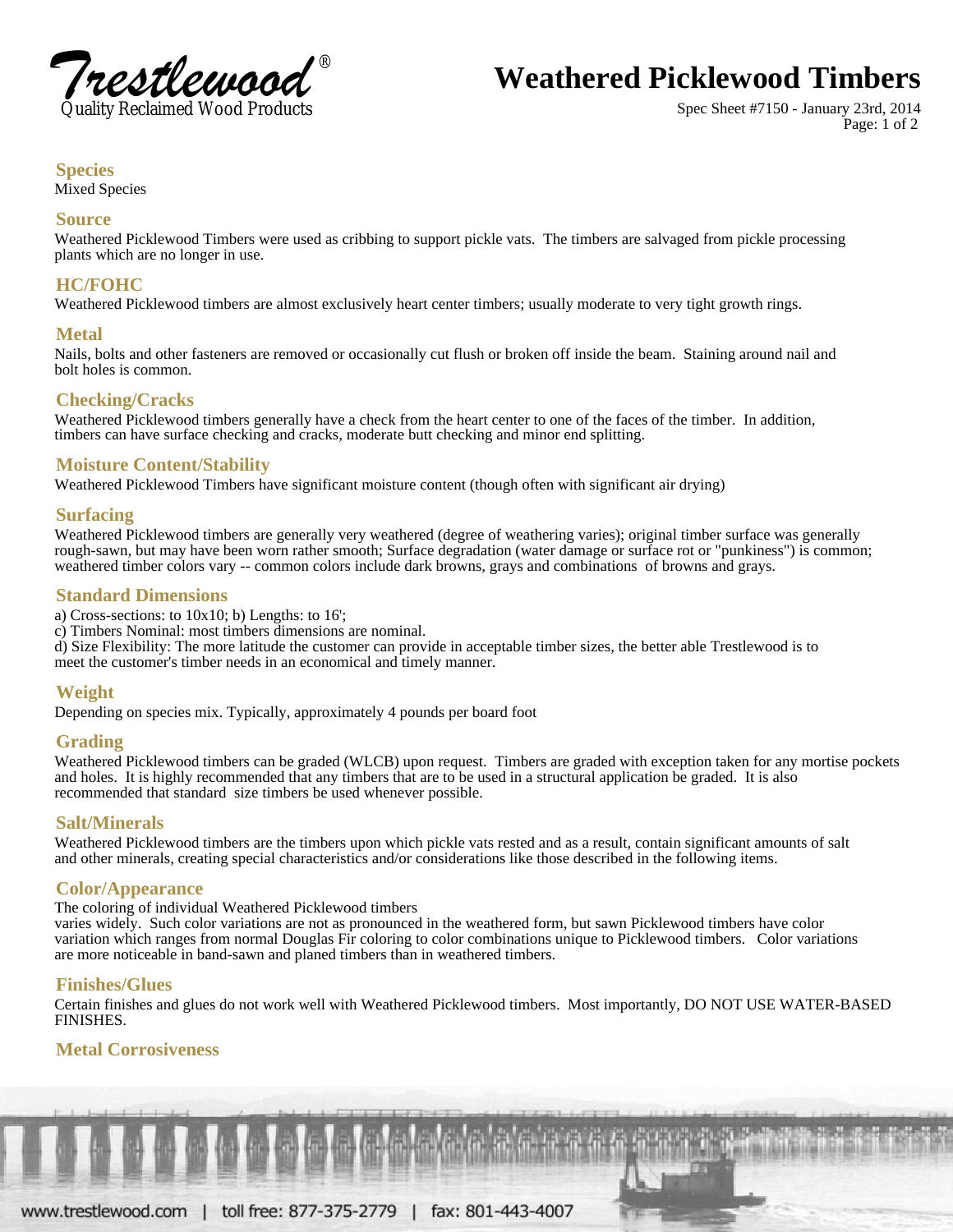

# **Weathered Picklewood Timbers**

Spec Sheet #7150 - January 23rd, 2014 Page: 1 of 2

### **Species**

Mixed Species

#### **Source**

 Weathered Picklewood Timbers were used as cribbing to support pickle vats. The timbers are salvaged from pickle processing plants which are no longer in use.

## **HC/FOHC**

Weathered Picklewood timbers are almost exclusively heart center timbers; usually moderate to very tight growth rings.

### **Metal**

 Nails, bolts and other fasteners are removed or occasionally cut flush or broken off inside the beam. Staining around nail and bolt holes is common.

## **Checking/Cracks**

 Weathered Picklewood timbers generally have a check from the heart center to one of the faces of the timber. In addition, timbers can have surface checking and cracks, moderate butt checking and minor end splitting.

## **Moisture Content/Stability**

Weathered Picklewood Timbers have significant moisture content (though often with significant air drying)

#### **Surfacing**

 Weathered Picklewood timbers are generally very weathered (degree of weathering varies); original timber surface was generally rough-sawn, but may have been worn rather smooth; Surface degradation (water damage or surface rot or "punkiness") is common; weathered timber colors vary -- common colors include dark browns, grays and combinations of browns and grays.

## **Standard Dimensions**

a) Cross-sections: to  $10x10$ ; b) Lengths: to  $16'$ ;

c) Timbers Nominal: most timbers dimensions are nominal.

 d) Size Flexibility: The more latitude the customer can provide in acceptable timber sizes, the better able Trestlewood is to meet the customer's timber needs in an economical and timely manner.

## **Weight**

Depending on species mix. Typically, approximately 4 pounds per board foot

#### **Grading**

 Weathered Picklewood timbers can be graded (WLCB) upon request. Timbers are graded with exception taken for any mortise pockets and holes. It is highly recommended that any timbers that are to be used in a structural application be graded. It is also recommended that standard size timbers be used whenever possible.

#### **Salt/Minerals**

 Weathered Picklewood timbers are the timbers upon which pickle vats rested and as a result, contain significant amounts of salt and other minerals, creating special characteristics and/or considerations like those described in the following items.

#### **Color/Appearance**

The coloring of individual Weathered Picklewood timbers

 varies widely. Such color variations are not as pronounced in the weathered form, but sawn Picklewood timbers have color variation which ranges from normal Douglas Fir coloring to color combinations unique to Picklewood timbers. Color variations are more noticeable in band-sawn and planed timbers than in weathered timbers.

## **Finishes/Glues**

 Certain finishes and glues do not work well with Weathered Picklewood timbers. Most importantly, DO NOT USE WATER-BASED FINISHES.

## **Metal Corrosiveness**

www.trestlewood.com | toll free: 877-375-2779 | fax: 801-443-4007